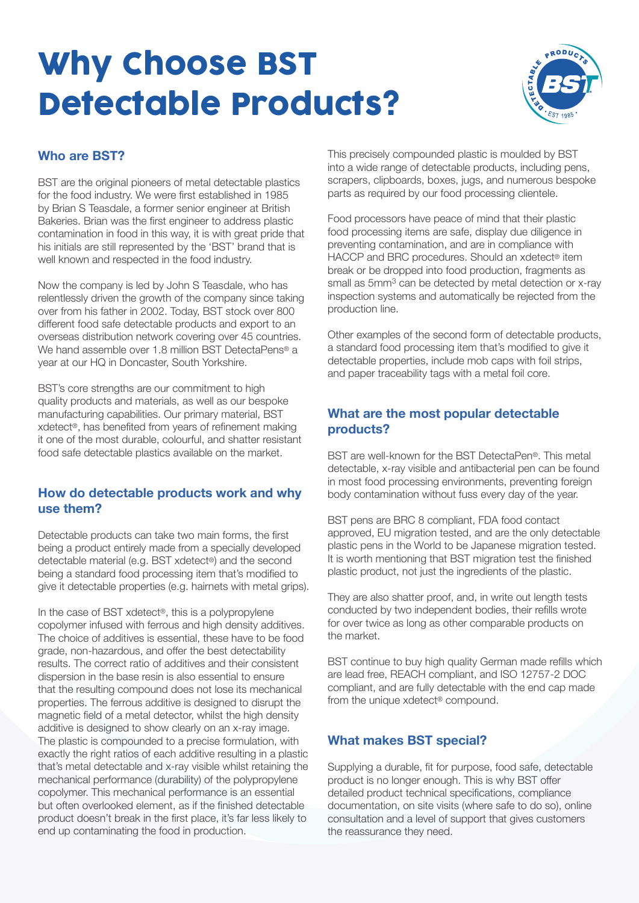# Why Choose BST Detectable Products?



# **Who are BST?**

BST are the original pioneers of metal detectable plastics for the food industry. We were first established in 1985 by Brian S Teasdale, a former senior engineer at British Bakeries. Brian was the first engineer to address plastic contamination in food in this way, it is with great pride that his initials are still represented by the 'BST' brand that is well known and respected in the food industry.

Now the company is led by John S Teasdale, who has relentlessly driven the growth of the company since taking over from his father in 2002. Today, BST stock over 800 different food safe detectable products and export to an overseas distribution network covering over 45 countries. We hand assemble over 1.8 million BST DetectaPens® a year at our HQ in Doncaster, South Yorkshire.

BST's core strengths are our commitment to high quality products and materials, as well as our bespoke manufacturing capabilities. Our primary material, BST xdetect®, has benefited from years of refinement making it one of the most durable, colourful, and shatter resistant food safe detectable plastics available on the market.

#### **How do detectable products work and why use them?**

Detectable products can take two main forms, the first being a product entirely made from a specially developed detectable material (e.g. BST xdetect®) and the second being a standard food processing item that's modified to give it detectable properties (e.g. hairnets with metal grips).

In the case of BST xdetect®, this is a polypropylene copolymer infused with ferrous and high density additives. The choice of additives is essential, these have to be food grade, non-hazardous, and offer the best detectability results. The correct ratio of additives and their consistent dispersion in the base resin is also essential to ensure that the resulting compound does not lose its mechanical properties. The ferrous additive is designed to disrupt the magnetic field of a metal detector, whilst the high density additive is designed to show clearly on an x-ray image. The plastic is compounded to a precise formulation, with exactly the right ratios of each additive resulting in a plastic that's metal detectable and x-ray visible whilst retaining the mechanical performance (durability) of the polypropylene copolymer. This mechanical performance is an essential but often overlooked element, as if the finished detectable product doesn't break in the first place, it's far less likely to end up contaminating the food in production.

This precisely compounded plastic is moulded by BST into a wide range of detectable products, including pens, scrapers, clipboards, boxes, jugs, and numerous bespoke parts as required by our food processing clientele.

Food processors have peace of mind that their plastic food processing items are safe, display due diligence in preventing contamination, and are in compliance with HACCP and BRC procedures. Should an xdetect® item break or be dropped into food production, fragments as small as 5mm<sup>3</sup> can be detected by metal detection or x-ray inspection systems and automatically be rejected from the production line.

Other examples of the second form of detectable products, a standard food processing item that's modified to give it detectable properties, include mob caps with foil strips, and paper traceability tags with a metal foil core.

### **What are the most popular detectable products?**

BST are well-known for the BST DetectaPen®. This metal detectable, x-ray visible and antibacterial pen can be found in most food processing environments, preventing foreign body contamination without fuss every day of the year.

BST pens are BRC 8 compliant, FDA food contact approved, EU migration tested, and are the only detectable plastic pens in the World to be Japanese migration tested. It is worth mentioning that BST migration test the finished plastic product, not just the ingredients of the plastic.

They are also shatter proof, and, in write out length tests conducted by two independent bodies, their refills wrote for over twice as long as other comparable products on the market.

BST continue to buy high quality German made refills which are lead free, REACH compliant, and ISO 12757-2 DOC compliant, and are fully detectable with the end cap made from the unique xdetect® compound.

# **What makes BST special?**

Supplying a durable, fit for purpose, food safe, detectable product is no longer enough. This is why BST offer detailed product technical specifications, compliance documentation, on site visits (where safe to do so), online consultation and a level of support that gives customers the reassurance they need.